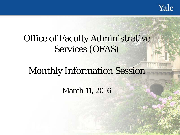

# Office of Faculty Administrative Services (OFAS)

# Monthly Information Session

March 11, 2016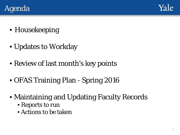



- Housekeeping
- Updates to Workday
- Review of last month's key points
- OFAS Training Plan Spring 2016
- Maintaining and Updating Faculty Records
	- Reports to run
	- Actions to be taken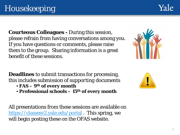3

# Housekeeping

**Courteous Colleagues -** During this session, please refrain from having conversations among you. If you have questions or comments, please raise them to the group. Sharing information is a great benefit of these sessions.

**Deadlines** to submit transactions for processing, this *includes submission of supporting documents*

- **FAS – 9th of every month**
- **Professional schools – 15th of every month**

All presentations from these sessions are available on <https://classesv2.yale.edu/portal> . This spring, we will begin posting these on the OFAS website.





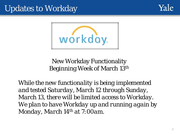## Updates to Workday





#### New Workday Functionality Beginning Week of March 13th

*While the new functionality is being implemented and tested Saturday, March 12 through Sunday, March 13, there will be limited access to Workday. We plan to have Workday up and running again by Monday, March 14th at 7:00am.*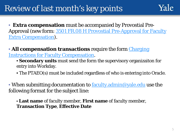## Review of last month's key points

• **Extra compensation** must be accompanied by Provostial Pre-Approval (new form: 3501 FR.08 H Provostial Pre-Approval for Faculty Extra Compensation).

• All compensation transactions require the form *Charging* [Instructions for Faculty Compensation.](http://facultyadmin.yale.edu/charging-instructions-faculty-compensation) 

- **Secondary units** must send the form the supervisory organizaiton for entry into Workday.
- The PTAEO(s) must be included regardless of who is entering into Oracle.

• When submitting documentation to <u>[faculty.admin@yale.edu](mailto:faculty.admin@yale.edu)</u> use the following format for the subject line:

• **Last name** of faculty member, **First name** of faculty member, **Transaction Type**, **Effective Date**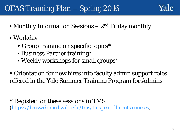## OFAS Training Plan – Spring 2016

- Monthly Information Sessions  $-2<sup>nd</sup>$  Friday monthly
- Workday
	- Group training on specific topics<sup>\*</sup>
	- Business Partner training\*
	- Weekly workshops for small groups\*
- Orientation for new hires into faculty admin support roles offered in the Yale Summer Training Program for Admins

\* *Register for these sessions in TMS [\(https://bmsweb.med.yale.edu/tms/tms\\_enrollments.courses](https://bmsweb.med.yale.edu/tms/tms_enrollments.courses))*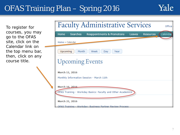## OFAS Training Plan – Spring 2016



To register for courses, you may go to the OFAS site, click on the Calendar link on the top menu bar, then, click on any course title.

| <b>Faculty Administrative Services</b><br>Office                                                 |
|--------------------------------------------------------------------------------------------------|
| Calendar<br><b>Searches</b><br>Reappointments & Promotions<br><b>Resources</b><br>Home<br>Leaves |
| Home » Calendar                                                                                  |
| Upcoming<br>Month<br>Week<br>Year<br>Dav                                                         |
| <b>Upcoming Events</b>                                                                           |
| March 11, 2016                                                                                   |
| Monthly Information Session - March 11th                                                         |
| March 16, 2016<br>OFAS Training - Workday Basics: Faculty and Other Academics                    |
| March 21, 2016                                                                                   |
| OEAS Training - Workday: Business Partner Review Process                                         |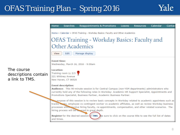#### OFAS Training Plan – Spring 2016



|        | Home               | <b>Searches</b>                                                   | <b>Reappointments &amp; Promotions</b>                                                                                                                                                                                                                                                                                                                                            | <b>Leaves</b> | <b>Resources</b> | Calendar | Contact |
|--------|--------------------|-------------------------------------------------------------------|-----------------------------------------------------------------------------------------------------------------------------------------------------------------------------------------------------------------------------------------------------------------------------------------------------------------------------------------------------------------------------------|---------------|------------------|----------|---------|
|        |                    |                                                                   | Home » Calendar » OFAS Training - Workday Basics: Faculty and Other Academics                                                                                                                                                                                                                                                                                                     |               |                  |          |         |
|        |                    |                                                                   | <b>OFAS Training - Workday Basics: Faculty and</b>                                                                                                                                                                                                                                                                                                                                |               |                  |          |         |
|        |                    |                                                                   | <b>Other Academics</b>                                                                                                                                                                                                                                                                                                                                                            |               |                  |          |         |
|        | View               | Edit                                                              | Manage display                                                                                                                                                                                                                                                                                                                                                                    |               |                  |          |         |
|        | <b>Event time:</b> |                                                                   | Wednesday, March 16, 2016 - 9:00am                                                                                                                                                                                                                                                                                                                                                |               |                  |          |         |
| ontain | <b>Location:</b>   | Training room LL 2/3<br>221 Whitney Avenue<br>New Haven, CT 06520 |                                                                                                                                                                                                                                                                                                                                                                                   |               |                  |          |         |
|        |                    | <b>Event description:</b>                                         | Audience: This 90-minute session is for Central Campus (non-YSM departments) administrators who<br>currently hold any of the following roles in Workday: Academic HR Support Specialist, Appointments and<br>Promotions Specialist, Business Partner, Academic Business Partner.                                                                                                  |               |                  |          |         |
|        |                    |                                                                   | The purpose of this session is to review basic concepts in Workday related to academic appointees such as<br>tracks, ranks, employee vs contingent worker vs academic affiliates, as well as review Workday business<br>processes which involve hiring faculty, re-appointments, compensation, and other related scenarios. The<br>hiring process will be covered in great depth. |               |                  |          |         |
|        | and times.         |                                                                   | Register for the desired session in TMS. Be sure to click on the course title to see the full list of dates                                                                                                                                                                                                                                                                       |               |                  |          |         |

#### The course descriptions co a link to TMS.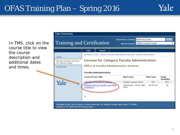In TMS, click on the course title to view the course description and additional dates and times.

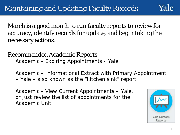March is a good month to run faculty reports to review for accuracy, identify records for update, and begin taking the necessary actions.

Recommended Academic Reports Academic - Expiring Appointments - Yale

Academic - Informational Extract with Primary Appointment – Yale – also known as the "kitchen sink" report

Academic - View Current Appointments – Yale, or just review the list of appointments for the Academic Unit

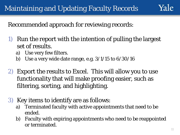Recommended approach for reviewing records:

- 1) Run the report with the intention of pulling the largest set of results.
	- a) Use very few filters.
	- b) Use a very wide date range, e.g. 3/1/15 to 6/30/16
- 2) Export the results to Excel. This will allow you to use functionality that will make proofing easier, such as filtering, sorting, and highlighting.
- 3) Key items to identify are as follows:
	- a) Terminated faculty with active appointments that need to be ended.
	- b) Faculty with expiring appointments who need to be reappointed or terminated.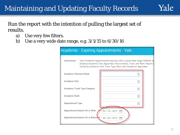

#### Run the report with the intention of pulling the largest set of results.

- a) Use very few filters.
- b) Use a very wide date range, e.g. 3/1/15 to 6/30/16

| Instructions            |                                 | View Academic Appointments expiring within a given date range [ Default: to<br>Displays Academic Unit, Appointee, Tenure Status, Track, and Rank. Report in<br>Sorted by Academic Unit, Track Type, Rank, then Academic Appointee. |  |
|-------------------------|---------------------------------|------------------------------------------------------------------------------------------------------------------------------------------------------------------------------------------------------------------------------------|--|
| Academic Structure Node |                                 |                                                                                                                                                                                                                                    |  |
| Academic Unit           |                                 | $\sim$ $-$                                                                                                                                                                                                                         |  |
|                         | Academic Track Type Category    |                                                                                                                                                                                                                                    |  |
| Academic Rank           |                                 | $\overline{\phantom{a}}$                                                                                                                                                                                                           |  |
| Appointment Type        |                                 |                                                                                                                                                                                                                                    |  |
|                         | Appointment Expires On or After | 03 / 10 / 2015                                                                                                                                                                                                                     |  |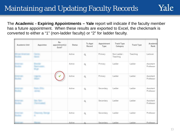The **Academic - Expiring Appointments – Yale** report will indicate if the faculty member has a future appointment. When these results are exported to Excel, the checkmark is converted to either a "1" (non-ladder faculty) or "2" for ladder faculty.

| Academic Unit | Appointee | Re-<br>appointment(s)<br>Exist? | <b>Status</b> | To Appt<br>Record | Appointment<br>Type | <b>Track Type</b><br>Category | <b>Track Type</b> | Academic<br>Rank       |
|---------------|-----------|---------------------------------|---------------|-------------------|---------------------|-------------------------------|-------------------|------------------------|
|               |           |                                 | Active        | $\mathsf Q$       | Primary             | Non Ladder -<br>Teaching      | Teaching          | Lecturer               |
|               |           |                                 | Active        | $\mathsf Q$       | Primary             | Ladder                        | Ladder            | Assistant<br>Professor |
|               |           |                                 | Active        | $\alpha$          | Primary             | Ladder                        | Ladder            | Assistant<br>Professor |
|               |           |                                 | Active        | $\mathsf Q$       | Secondary           | Ladder                        | Ladder            | Assistant<br>Professor |
|               |           |                                 |               | $\alpha$          | Secondary           | Ladder                        | Ladder            | Assistant<br>Professor |
|               |           |                                 | Active        | $\hbox{\tt Q}$    | Secondary           | Ladder                        | Ladder            | Professor              |
|               |           |                                 | Active        | $\Omega$          | Secondary           | Ladder                        | Ladder            | Professor              |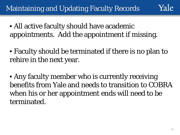- All active faculty should have academic appointments. Add the appointment if missing.
- Faculty should be terminated if there is no plan to rehire in the next year.
- Any faculty member who is currently receiving benefits from Yale and needs to transition to COBRA when his or her appointment ends will need to be terminated.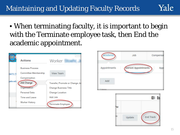• When terminating faculty, it is important to begin with the Terminate employee task, then End the academic appointment.







Yale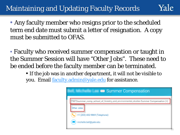Yale

• Any faculty member who resigns prior to the scheduled term end date must submit a letter of resignation. A copy must be submitted to OFAS.

• Faculty who received summer compensation or taught in the Summer Session will have "Other Jobs". These need to be ended before the faculty member can be terminated.

• If the job was in another department, it will not be visible to you. Email [faculty.admin@yale.edu](mailto:faculty.admin@yale.edu) for assistance.

| Summer Compensation<br><b><i>SELL PHILIPS CARE</i></b> |                                                                                       |  |  |  |
|--------------------------------------------------------|---------------------------------------------------------------------------------------|--|--|--|
|                                                        | 75872summer_comp_school_of_limenthy_and_anwinanmannal_anallan Summer Compensation (+) |  |  |  |
| Other Jobs                                             | +1 (203) 432-9869 (Telephone)                                                         |  |  |  |
|                                                        | <b>Audio buildbusie adv</b>                                                           |  |  |  |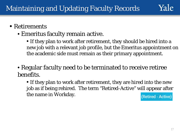

- Emeritus faculty remain active.
	- If they plan to work after retirement, they should be hired into a new job with a relevant job profile, but the Emeritus appointment on the academic side must remain as their primary appointment.
- Regular faculty need to be terminated to receive retiree benefits.
	- If they plan to work after retirement, they are hired into the new job as if being rehired. The term "Retired-Active" will appear after the name in Workday. (Retired - Active)

Yale